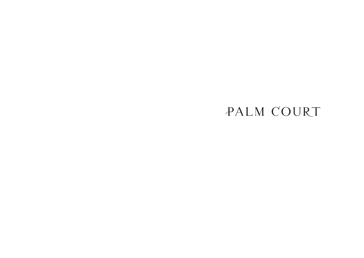# PALM COURT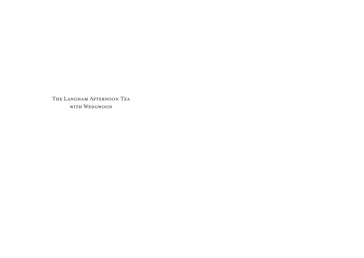The Langham Afternoon Tea with Wedgwood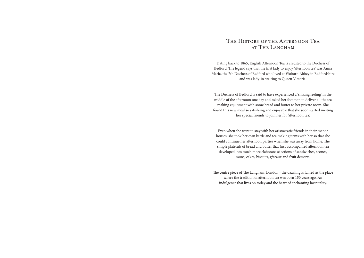# The History of the Afternoon Tea at The Langham

Dating back to 1865, English Afternoon Tea is credited to the Duchess of Bedford. The legend says that the first lady to enjoy 'afternoon tea' was Anna Maria, the 7th Duchess of Bedford who lived at Woburn Abbey in Bedfordshire and was lady-in-waiting to Queen Victoria.

The Duchess of Bedford is said to have experienced a 'sinking feeling' in the middle of the afternoon one day and asked her footman to deliver all the tea making equipment with some bread and butter to her private room. She found this new meal so satisfying and enjoyable that she soon started inviting her special friends to join her for 'afternoon tea'.

Even when she went to stay with her aristocratic friends in their manor houses, she took her own kettle and tea making items with her so that she could continue her afternoon parties when she was away from home. The simple platefuls of bread and butter that first accompanied afternoon tea developed into much more elaborate selections of sandwiches, scones, muns, cakes, biscuits, gâteaux and fruit desserts.

The centre piece of The Langham, London - the dazzling is famed as the place where the tradition of afternoon tea was born 150 years ago. An indulgence that lives on today and the heart of enchanting hospitality.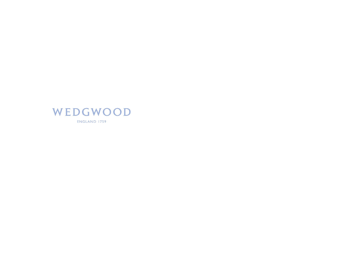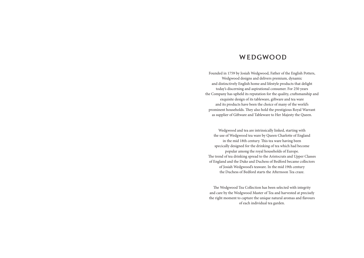# WEDGWOOD

Founded in 1759 by Josiah Wedgwood, Father of the English Potters, Wedgwood designs and delivers premium, dynamic and distinctively English home and lifestyle products that delight today's discerning and aspirational consumer. For 250 years the Company has upheld its reputation for the quality, craftsmanship and exquisite design of its tableware, giftware and tea ware and its products have been the choice of many of the world's prominent households. They also hold the prestigious Royal Warrant as supplier of Giftware and Tableware to Her Majesty the Queen.

Wedgwood and tea are intrinsically linked, starting with the use of Wedgwood tea ware by Queen Charlotte of England in the mid 18th century. This tea ware having been specically designed for the drinking of tea which had become popular among the royal households of Europe. The trend of tea drinking spread to the Aristocrats and Upper Classes of England and the Duke and Duchess of Bedford became collectors of Josiah Wedgwood's teaware. In the mid 19th century the Duchess of Bedford starts the Afternoon Tea craze.

The Wedgwood Tea Collection has been selected with integrity and care by the Wedgwood Master of Tea and harvested at precisely the right moment to capture the unique natural aromas and flavours of each individual tea garden.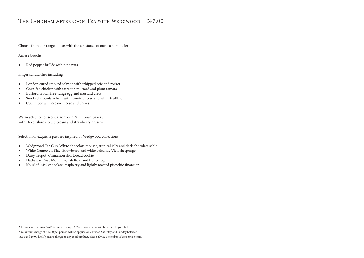Choose from our range of teas with the assistance of our tea sommelier

Amuse bouche

• Red pepper brûlée with pine nuts

## Finger sandwiches including

- • London cured smoked salmon with whipped brie and rocket
- Corn-fed chicken with tarragon mustard and plum tomato
- Burford brown free-range egg and mustard cress
- Smoked mountain ham with Comté cheese and white truffle oil
- • Cucumber with cream cheese and chives

Warm selection of scones from our Palm Court bakery with Devonshire clotted cream and strawberry preserve

Selection of exquisite pastries inspired by Wedgwood collections

- • Wedgwood Tea Cup, White chocolate mousse, tropical jelly and dark chocolate sable
- White Cameo on Blue, Strawberry and white balsamic Victoria sponge
- Daisy Teapot, Cinnamon shortbread cookie
- Hathaway Rose Motif, English Rose and lychee log
- • Kouglof, 64% chocolate, raspberry and lightly roasted pistachio financier

All prices are inclusive VAT. A discretionary 12.5% service charge will be added to your bill. A minimum charge of £47.00 per person will be applied on a Friday, Saturday and Sunday between 13.00 and 19.00 hrs.If you are allergic to any food product, please advice a member of the service team.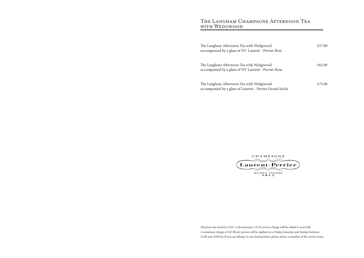# The Langham Champagne Afternoon Tea WITH WEDGWOOD

| The Langham Afternoon Tea with Wedgwood<br>accompanied by a glass of NV Laurent - Perrier Brut      | £57.00 |
|-----------------------------------------------------------------------------------------------------|--------|
| The Langham Afternoon Tea with Wedgwood<br>accompanied by a glass of NV Laurent - Perrier Rose      | £62.00 |
| The Langham Afternoon Tea with Wedgwood<br>accompanied by a glass of Laurent - Perrier Grand Siècle | £75.00 |



All prices are inclusive VAT. A discretionary 12.5% service charge will be added to your bill. A minimum charge of £47.00 per person will be applied on a Friday, Saturday and Sunday between 13.00 and 19.00 hrs.If you are allergic to any food product, please advice a member of the service team.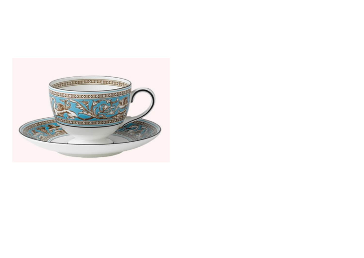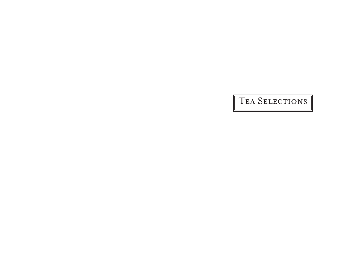TEA SELECTIONS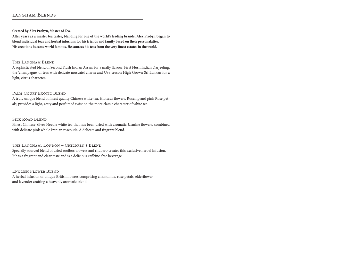# langham Blends

### **Created by Alex Probyn, Master of Tea.**

**After years as a master tea taster, blending for one of the world's leading brands, Alex Probyn began to blend individual teas and herbal infusions for his friends and family based on their personalaties. His creations became world famous. He sources his teas from the very finest estates in the world.**

## THE LANGHAM BLEND

A sophisticated blend of Second Flush Indian Assam for a malty flavour, First Flush Indian Darjeeling; the 'champagne' of teas with delicate muscatel charm and Uva season High Grown Sri Lankan for a light, citrus character.

## PALM COURT EXOTIC BLEND

A truly unique blend of finest quality Chinese white tea, Hibiscus flowers, Rosehip and pink Rose petals; provides a light, zesty and perfumed twist on the more classic character of white tea.

## Silk Road Blend

Finest Chinese Silver Needle white tea that has been dried with aromatic Jasmine flowers, combined with delicate pink whole Iranian rosebuds. A delicate and fragrant blend.

The Langham, London – Children's Blend Specially sourced blend of dried rooibos, flowers and rhubarb creates this exclusive herbal infusion. It has a fragrant and clear taste and is a delicious caffeine-free beverage.

English Flower Blend A herbal infusion of unique British flowers comprising chamomile, rose petals, elderflower and lavender crafting a heavenly aromatic blend.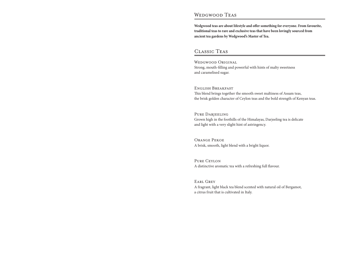# WEDGWOOD TEAS

**Wedgwood teas are about lifestyle and offer something for everyone. From favourite, traditional teas to rare and exclusive teas that have been lovingly sourced from ancient tea gardens by Wedgwood's Master of Tea.**

# Classic Teas

Wedgwood Original Strong, mouth-filling and powerful with hints of malty sweetness and caramelised sugar.

English Breakfast This blend brings together the smooth sweet maltiness of Assam teas, the brisk golden character of Ceylon teas and the bold strength of Kenyan teas.

Pure Darjeeling Grown high in the foothills of the Himalayas, Darjeeling tea is delicate and light with a very slight hint of astringency.

Orange Pekoe A brisk, smooth, light blend with a bright liquor.

Pure Ceylon A distinctive aromatic tea with a refreshing full flavour.

Earl Grey A fragrant, light black tea blend scented with natural oil of Bergamot, a citrus fruit that is cultivated in Italy.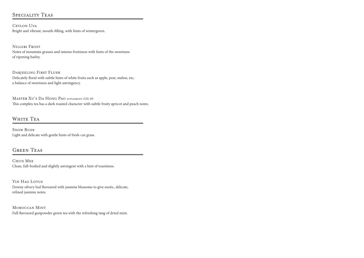# SPECIALITY TEAS

Ceylon Uva Bright and vibrant, mouth-filling, with hints of wintergreen.

Nilgiri Frost Notes of mountain grasses and intense fruitiness with hints of the sweetness of ripening barley.

Darjeeling First Flush Delicately floral with subtle hints of white fruits such as apple, pear, melon, etc; a balance of sweetness and light astringency.

Master Xu's Da Hong Pao suplement £20.00 This complex tea has a dark roasted character with subtle fruity apricot and peach notes.

# WHITE TEA

Snow Buds Light and delicate with gentle hints of fresh-cut grass.

# Green Teas

Chun Mee Clean, full-bodied and slightly astringent with a hint of toastiness.

YIN HAO LOTUS Downy silvery leaf flavoured with jasmine blossoms to give exotic, delicate, refined jasmine notes.

Moroccan Mint Full flavoured gunpowder green tea with the refreshing tang of dried mint.